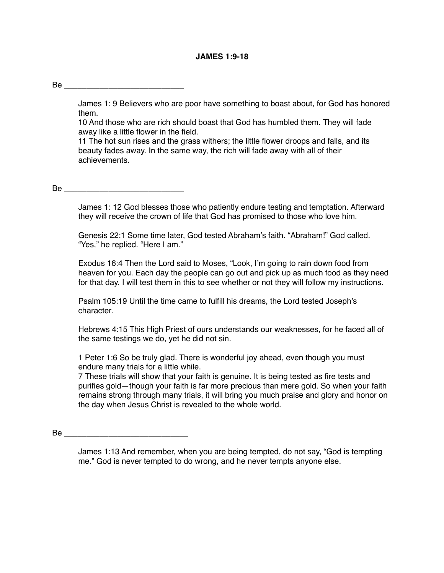### **JAMES 1:9-18**

# $Be$

James 1: 9 Believers who are poor have something to boast about, for God has honored them.

10 And those who are rich should boast that God has humbled them. They will fade away like a little flower in the field.

11 The hot sun rises and the grass withers; the little flower droops and falls, and its beauty fades away. In the same way, the rich will fade away with all of their achievements.

#### $Be$

James 1: 12 God blesses those who patiently endure testing and temptation. Afterward they will receive the crown of life that God has promised to those who love him.

Genesis 22:1 Some time later, God tested Abraham's faith. "Abraham!" God called. "Yes," he replied. "Here I am."

Exodus 16:4 Then the Lord said to Moses, "Look, I'm going to rain down food from heaven for you. Each day the people can go out and pick up as much food as they need for that day. I will test them in this to see whether or not they will follow my instructions.

Psalm 105:19 Until the time came to fulfill his dreams, the Lord tested Joseph's character.

Hebrews 4:15 This High Priest of ours understands our weaknesses, for he faced all of the same testings we do, yet he did not sin.

1 Peter 1:6 So be truly glad. There is wonderful joy ahead, even though you must endure many trials for a little while.

7 These trials will show that your faith is genuine. It is being tested as fire tests and purifies gold—though your faith is far more precious than mere gold. So when your faith remains strong through many trials, it will bring you much praise and glory and honor on the day when Jesus Christ is revealed to the whole world.

 $Be$ 

James 1:13 And remember, when you are being tempted, do not say, "God is tempting me." God is never tempted to do wrong, and he never tempts anyone else.